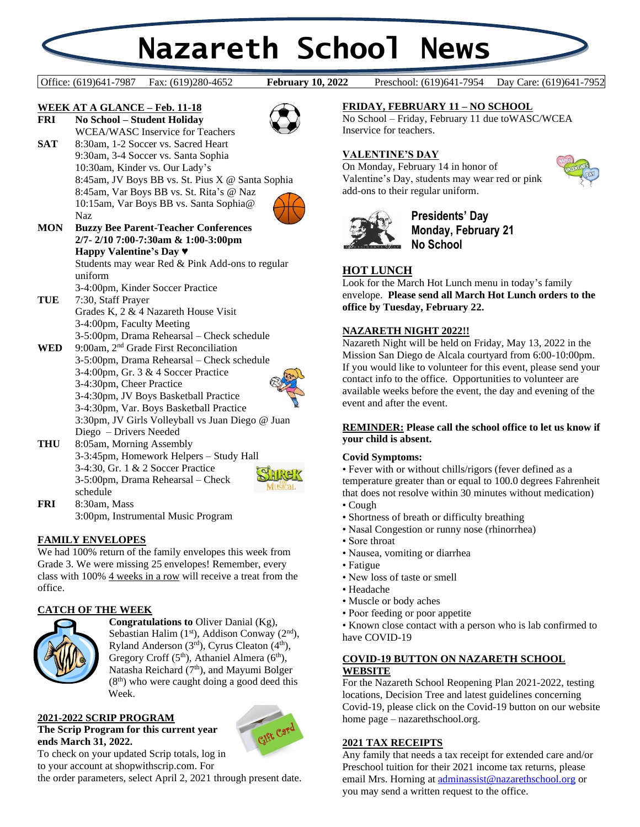# **Nazareth School News**

Office: (619)641-7987 Fax: (619)280-4652 **February 10, 2022** Preschool: (619)641-7954 Day Care: (619)641-7952

**February 10, 2022** 

#### **WEEK AT A GLANCE – Feb. 11-18 FRI No School – Student Holiday**



WCEA/WASC Inservice for Teachers SAT 8:30am, 1-2 Soccer vs. Sacred Heart 9:30am, 3-4 Soccer vs. Santa Sophia 10:30am, Kinder vs. Our Lady's 8:45am, JV Boys BB vs. St. Pius X @ Santa Sophia 8:45am, Var Boys BB vs. St. Rita's @ Naz 10:15am, Var Boys BB vs. Santa Sophia@ Naz



# **MON Buzzy Bee Parent-Teacher Conferences 2/7- 2/10 7:00-7:30am & 1:00-3:00pm Happy Valentine's Day** ♥ Students may wear Red & Pink Add-ons to regular

uniform 3-4:00pm, Kinder Soccer Practice

**TUE** 7:30, Staff Prayer Grades K, 2 & 4 Nazareth House Visit 3-4:00pm, Faculty Meeting 3-5:00pm, Drama Rehearsal – Check schedule

WED 9:00am, 2<sup>nd</sup> Grade First Reconciliation 3-5:00pm, Drama Rehearsal – Check schedule 3-4:00pm, Gr. 3 & 4 Soccer Practice 3-4:30pm, Cheer Practice 3-4:30pm, JV Boys Basketball Practice 3-4:30pm, Var. Boys Basketball Practice 3:30pm, JV Girls Volleyball vs Juan Diego @ Juan Diego – Drivers Needed **THU** 8:05am, Morning Assembly



Musical

3-3:45pm, Homework Helpers – Study Hall 3-4:30, Gr. 1 & 2 Soccer Practice 3-5:00pm, Drama Rehearsal – Check schedule **FRI** 8:30am, Mass

3:00pm, Instrumental Music Program

# **FAMILY ENVELOPES**

We had 100% return of the family envelopes this week from Grade 3. We were missing 25 envelopes! Remember, every class with 100% 4 weeks in a row will receive a treat from the office.

# **CATCH OF THE WEEK**



**Congratulations to** Oliver Danial (Kg), Sebastian Halim  $(1<sup>st</sup>)$ , Addison Conway  $(2<sup>nd</sup>)$ , Ryland Anderson  $(3<sup>rd</sup>)$ , Cyrus Cleaton  $(4<sup>th</sup>)$ , Gregory Croff  $(5<sup>th</sup>)$ , Athaniel Almera  $(6<sup>th</sup>)$ , Natasha Reichard  $(7<sup>th</sup>)$ , and Mayumi Bolger  $(8<sup>th</sup>)$  who were caught doing a good deed this Week.

# **2021-2022 SCRIP PROGRAM**

**The Scrip Program for this current year ends March 31, 2022.**



To check on your updated Scrip totals, log in to your account at shopwithscrip.com. For

the order parameters, select April 2, 2021 through present date.

# **FRIDAY, FEBRUARY 11 – NO SCHOOL**

No School – Friday, February 11 due toWASC/WCEA Inservice for teachers.

# **VALENTINE'S DAY**

On Monday, February 14 in honor of Valentine's Day, students may wear red or pink add-ons to their regular uniform.



# **Presidents' Day Monday, February 21 No School**

# **HOT LUNCH**

Look for the March Hot Lunch menu in today's family envelope. **Please send all March Hot Lunch orders to the office by Tuesday, February 22.**

# **NAZARETH NIGHT 2022!!**

Nazareth Night will be held on Friday, May 13, 2022 in the Mission San Diego de Alcala courtyard from 6:00-10:00pm. If you would like to volunteer for this event, please send your contact info to the office. Opportunities to volunteer are available weeks before the event, the day and evening of the event and after the event.

### **REMINDER: Please call the school office to let us know if your child is absent.**

# **Covid Symptoms:**

• Fever with or without chills/rigors (fever defined as a temperature greater than or equal to 100.0 degrees Fahrenheit that does not resolve within 30 minutes without medication)

- Cough
- Shortness of breath or difficulty breathing
- Nasal Congestion or runny nose (rhinorrhea)
- Sore throat
- Nausea, vomiting or diarrhea
- Fatigue
- New loss of taste or smell
- Headache
- Muscle or body aches
- Poor feeding or poor appetite

• Known close contact with a person who is lab confirmed to have COVID-19

# **COVID-19 BUTTON ON NAZARETH SCHOOL WEBSITE**

For the Nazareth School Reopening Plan 2021-2022, testing locations, Decision Tree and latest guidelines concerning Covid-19, please click on the Covid-19 button on our website home page – nazarethschool.org.

# **2021 TAX RECEIPTS**

Any family that needs a tax receipt for extended care and/or Preschool tuition for their 2021 income tax returns, please email Mrs. Horning at [adminassist@nazarethschool.org](mailto:adminassist@nazarethschool.org) or you may send a written request to the office.